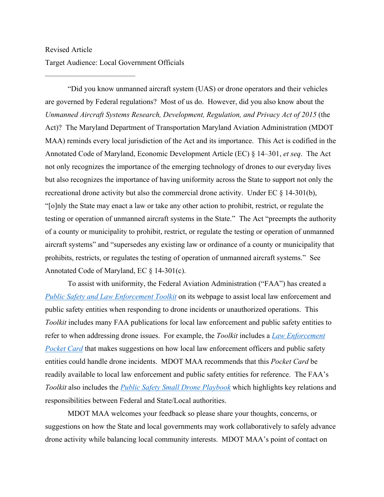## Revised Article Target Audience: Local Government Officials

————————————

"Did you know unmanned aircraft system (UAS) or drone operators and their vehicles are governed by Federal regulations? Most of us do. However, did you also know about the *Unmanned Aircraft Systems Research, Development, Regulation, and Privacy Act of 2015* (the Act)? The Maryland Department of Transportation Maryland Aviation Administration (MDOT MAA) reminds every local jurisdiction of the Act and its importance. This Act is codified in the Annotated Code of Maryland, Economic Development Article (EC) § 14–301, *et seq*. The Act not only recognizes the importance of the emerging technology of drones to our everyday lives but also recognizes the importance of having uniformity across the State to support not only the recreational drone activity but also the commercial drone activity. Under EC § 14-301(b), "[o]nly the State may enact a law or take any other action to prohibit, restrict, or regulate the testing or operation of unmanned aircraft systems in the State." The Act "preempts the authority of a county or municipality to prohibit, restrict, or regulate the testing or operation of unmanned aircraft systems" and "supersedes any existing law or ordinance of a county or municipality that prohibits, restricts, or regulates the testing of operation of unmanned aircraft systems." See Annotated Code of Maryland, EC § 14-301(c).

To assist with uniformity, the Federal Aviation Administration ("FAA") has created a *Public Safety and Law Enforcement Toolkit* on its webpage to assist local law enforcement and public safety entities when responding to drone incidents or unauthorized operations. This *Toolkit* includes many FAA publications for local law enforcement and public safety entities to refer to when addressing drone issues. For example, the *Toolkit* includes a *Law Enforcement Pocket Card* that makes suggestions on how local law enforcement officers and public safety entities could handle drone incidents. MDOT MAA recommends that this *Pocket Card* be readily available to local law enforcement and public safety entities for reference. The FAA's *Toolkit* also includes the *Public Safety Small Drone Playbook* which highlights key relations and responsibilities between Federal and State/Local authorities.

MDOT MAA welcomes your feedback so please share your thoughts, concerns, or suggestions on how the State and local governments may work collaboratively to safely advance drone activity while balancing local community interests. MDOT MAA's point of contact on